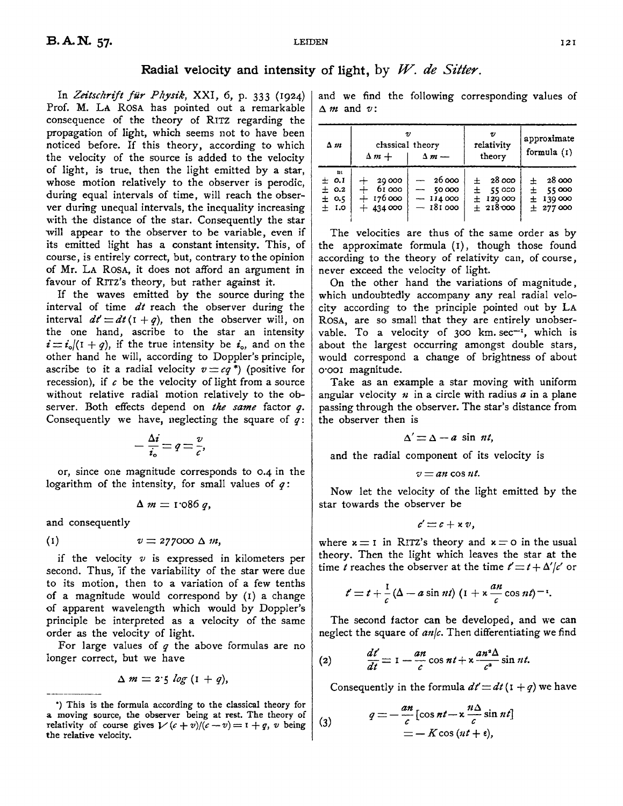## **Radial velocity and intensity of light,** by *W. de Sitter.*

In *Zeitschrift für Physik*, XXI, 6, p. 333 (1924) Prof. M. LA ROSA has pointed out a remarkable consequence of the theory of RITZ regarding the propagation of light, which seems not to have been noticed before. If this theory, according to which the velocity of the source is added to the velocity of light, is true, then the light emitted by a star, whose motion relatively to the observer is perodic, during equal intervals of time, will reach the observer during unequal intervals, the inequality increasing with the distance of the star. Consequently the star will appear to the observer to be variable, even if its emitted light has a constant intensity. This, of course, is entirely correct, but, contrary to the opinion of Mr. LA ROSA, it does not afford an argument in favour of Rrrz's theory, but rather against it.

If the waves emitted by the source during the interval of time *dt* reach the observer during the interval  $dt' = dt (1 + q)$ , then the observer will, on the one hand, ascribe to the star an intensity  $i = i_o/(1 + q)$ , if the true intensity be  $i_o$ , and on the other hand he will, according to Doppler's principle, ascribe to it a radial velocity  $v = cq^*$ ) (positive for recession), if  $c$  be the velocity of light from a source without relative radial motion relatively to the observer. Both effects depend on *the same* factor *q.*  Consequently we have, neglecting the square of *q:* 

$$
-\frac{\Delta i}{i_{\circ}}=q=\frac{v}{c},
$$

or, since one magnitude corresponds to 0.4 in the logarithm of the intensity, for small values of  $q$ :

$$
\Delta m = 1.086 q,
$$

and consequently

$$
(1) \t v = 277000 \Delta m,
$$

if the velocity  $v$  is expressed in kilometers per second. Thus, if the variability of the star were due to its motion, then to a variation of a few tenths of a magnitude would correspond by (I) a change of apparent wavelength which would by Doppler's principle be interpreted as a velocity of the same order as the velocity of light.

For large values of *q* the above formulas are no longer correct, but we have

$$
\Delta m = 2.5 log (1 + q),
$$

and we find the following corresponding values of  $\triangle$  *m* and *v*:

| $\Delta m$                                        | classical theory<br>$\Delta m +$           | $\Delta m -$                                                             | v<br>relativity<br>theory                      | approximate<br>formula (1)                        |
|---------------------------------------------------|--------------------------------------------|--------------------------------------------------------------------------|------------------------------------------------|---------------------------------------------------|
| $_{\rm{m}}$<br>± 0.1<br>± 0.2<br>± 0.5<br>$±$ 1.0 | 20 000<br>61 000<br>$+176000$<br>$+434000$ | - 26 000<br>50 000<br>$\overline{\phantom{a}}$<br>$-114000$<br>$-181000$ | 28 000<br>$±$ 55000<br>$±$ 129 000<br>± 218000 | 28 000<br>+<br>55 000<br>士<br>±139000<br>± 277000 |

The velocities are thus of the same order as by the approximate formula (I), though those found according to the theory of relativity can, of course, never exceed the velocity of light.

On the other hand the variations of magnitude, which undoubtedly accompany any real radial velocity according to the principle pointed out by LA RosA, are so small that they are entirely unobservable. To a velocity of 300 km sec $-i$ , which is about the largest occurring amongst double stars, would correspond a change of brightness of about o·ooi magnitude.

Take as an example a star moving with uniform angular velocity  $n$  in a circle with radius  $a$  in a plane passing through the observer. The star's distance from the observer then is

$$
\Delta' = \Delta - a \sin nt,
$$

and the radial component of its velocity is

$$
v = an \cos nt.
$$

Now let the velocity of the light emitted by the star towards the observer be

$$
c' \equiv c + \times v,
$$

where  $x = I$  in RITZ's theory and  $x = o$  in the usual theory. Then the light which leaves the star at the time *t* reaches the observer at the time  $t' = t + \Delta'/c'$  or

$$
t' = t + \frac{1}{c} (\Delta - a \sin nt) (1 + \kappa \frac{an}{c} \cos nt)^{-1}.
$$

The second factor can be developed, and we can neglect the square of  $an/c$ . Then differentiating we find

(2) 
$$
\frac{dt'}{dt} = 1 - \frac{an}{c} \cos nt + x \frac{an^2 \Delta}{c^2} \sin nt.
$$

Consequently in the formula  $dt' = dt (1 + q)$  we have

$$
q = -\frac{an}{c} [\cos nt - \kappa \frac{n\Delta}{c} \sin nt]
$$
  
= - K \cos (nt + \epsilon),

<sup>&</sup>quot;) This is the formula according to the classical theory for **a** moving source, the observer being at rest. The theory of relativity of course gives  $1/(c + \gamma)/(c - \gamma) = 1 + \gamma$ , v being (3) relativity of course gives  $V(c + v)/(c - v) = 1 + q$ , v being the relative velocity.